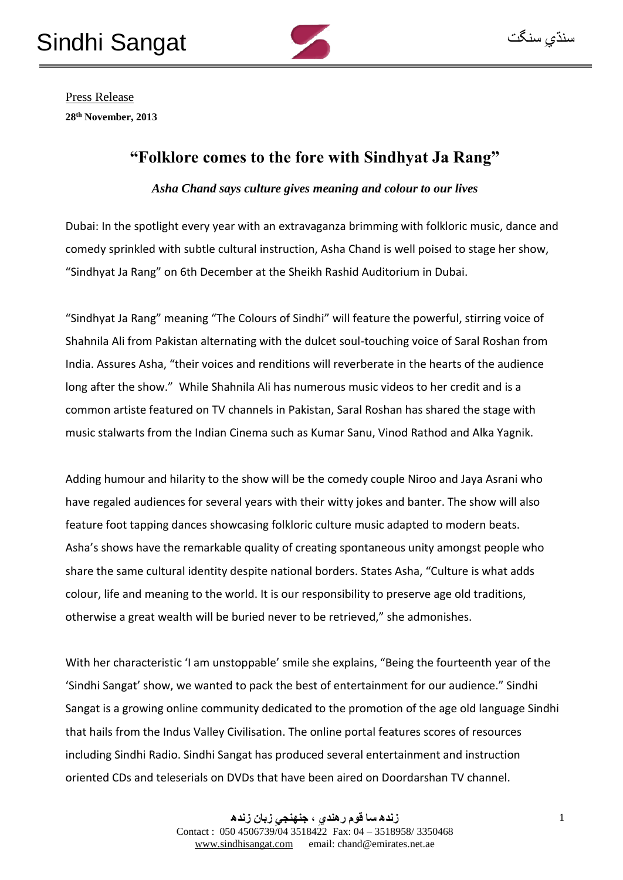

Press Release **28th November, 2013**

## **"Folklore comes to the fore with Sindhyat Ja Rang"**

*Asha Chand says culture gives meaning and colour to our lives*

Dubai: In the spotlight every year with an extravaganza brimming with folkloric music, dance and comedy sprinkled with subtle cultural instruction, Asha Chand is well poised to stage her show, "Sindhyat Ja Rang" on 6th December at the Sheikh Rashid Auditorium in Dubai.

"Sindhyat Ja Rang" meaning "The Colours of Sindhi" will feature the powerful, stirring voice of Shahnila Ali from Pakistan alternating with the dulcet soul-touching voice of Saral Roshan from India. Assures Asha, "their voices and renditions will reverberate in the hearts of the audience long after the show." While Shahnila Ali has numerous music videos to her credit and is a common artiste featured on TV channels in Pakistan, Saral Roshan has shared the stage with music stalwarts from the Indian Cinema such as Kumar Sanu, Vinod Rathod and Alka Yagnik.

Adding humour and hilarity to the show will be the comedy couple Niroo and Jaya Asrani who have regaled audiences for several years with their witty jokes and banter. The show will also feature foot tapping dances showcasing folkloric culture music adapted to modern beats. Asha's shows have the remarkable quality of creating spontaneous unity amongst people who share the same cultural identity despite national borders. States Asha, "Culture is what adds colour, life and meaning to the world. It is our responsibility to preserve age old traditions, otherwise a great wealth will be buried never to be retrieved," she admonishes.

With her characteristic 'I am unstoppable' smile she explains, "Being the fourteenth year of the 'Sindhi Sangat' show, we wanted to pack the best of entertainment for our audience." Sindhi Sangat is a growing online community dedicated to the promotion of the age old language Sindhi that hails from the Indus Valley Civilisation. The online portal features scores of resources including Sindhi Radio. Sindhi Sangat has produced several entertainment and instruction oriented CDs and teleserials on DVDs that have been aired on Doordarshan TV channel.